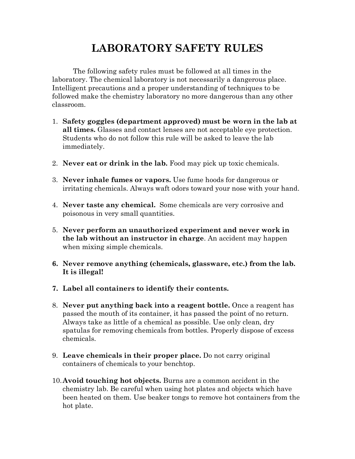## **LABORATORY SAFETY RULES**

The following safety rules must be followed at all times in the laboratory. The chemical laboratory is not necessarily a dangerous place. Intelligent precautions and a proper understanding of techniques to be followed make the chemistry laboratory no more dangerous than any other classroom.

- 1. **Safety goggles (department approved) must be worn in the lab at all times.** Glasses and contact lenses are not acceptable eye protection. Students who do not follow this rule will be asked to leave the lab immediately.
- 2. **Never eat or drink in the lab.** Food may pick up toxic chemicals.
- 3. **Never inhale fumes or vapors.** Use fume hoods for dangerous or irritating chemicals. Always waft odors toward your nose with your hand.
- 4. **Never taste any chemical.** Some chemicals are very corrosive and poisonous in very small quantities.
- 5. **Never perform an unauthorized experiment and never work in the lab without an instructor in charge**. An accident may happen when mixing simple chemicals.
- **6. Never remove anything (chemicals, glassware, etc.) from the lab. It is illegal!**
- **7. Label all containers to identify their contents.**
- 8. **Never put anything back into a reagent bottle.** Once a reagent has passed the mouth of its container, it has passed the point of no return. Always take as little of a chemical as possible. Use only clean, dry spatulas for removing chemicals from bottles. Properly dispose of excess chemicals.
- 9. **Leave chemicals in their proper place.** Do not carry original containers of chemicals to your benchtop.
- 10.**Avoid touching hot objects.** Burns are a common accident in the chemistry lab. Be careful when using hot plates and objects which have been heated on them. Use beaker tongs to remove hot containers from the hot plate.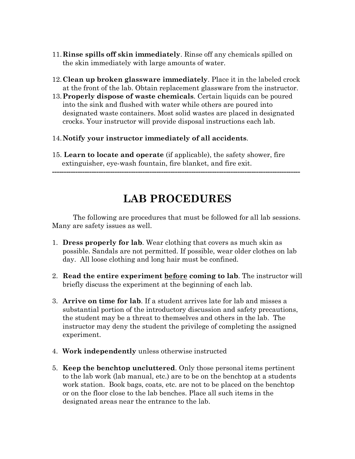- 11.**Rinse spills off skin immediately**. Rinse off any chemicals spilled on the skin immediately with large amounts of water.
- 12.**Clean up broken glassware immediately**. Place it in the labeled crock at the front of the lab. Obtain replacement glassware from the instructor.
- 13.**Properly dispose of waste chemicals**. Certain liquids can be poured into the sink and flushed with water while others are poured into designated waste containers. Most solid wastes are placed in designated crocks. Your instructor will provide disposal instructions each lab.
- 14.**Notify your instructor immediately of all accidents**.
- 15. **Learn to locate and operate** (if applicable), the safety shower, fire extinguisher, eye-wash fountain, fire blanket, and fire exit.

## **LAB PROCEDURES**

**-----------------------------------------------------------------------------------------------------------**

The following are procedures that must be followed for all lab sessions. Many are safety issues as well.

- 1. **Dress properly for lab**. Wear clothing that covers as much skin as possible. Sandals are not permitted. If possible, wear older clothes on lab day. All loose clothing and long hair must be confined.
- 2. **Read the entire experiment before coming to lab**. The instructor will briefly discuss the experiment at the beginning of each lab.
- 3. **Arrive on time for lab**. If a student arrives late for lab and misses a substantial portion of the introductory discussion and safety precautions, the student may be a threat to themselves and others in the lab. The instructor may deny the student the privilege of completing the assigned experiment.
- 4. **Work independently** unless otherwise instructed
- 5. **Keep the benchtop uncluttered**. Only those personal items pertinent to the lab work (lab manual, etc.) are to be on the benchtop at a students work station. Book bags, coats, etc. are not to be placed on the benchtop or on the floor close to the lab benches. Place all such items in the designated areas near the entrance to the lab.